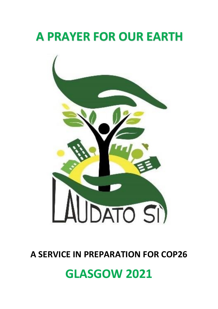# **A PRAYER FOR OUR EARTH**



### **A SERVICE IN PREPARATION FOR COP26**

## **GLASGOW 2021**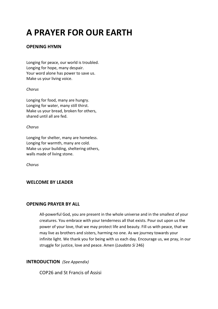## **A PRAYER FOR OUR EARTH**

#### **OPENING HYMN**

Longing for peace, our world is troubled. Longing for hope, many despair. Your word alone has power to save us. Make us your living voice.

#### *Chorus*

Longing for food, many are hungry. Longing for water, many still thirst. Make us your bread, broken for others, shared until all are fed.

#### *Chorus*

Longing for shelter, many are homeless. Longing for warmth, many are cold. Make us your building, sheltering others, walls made of living stone.

*Chorus*

#### **WELCOME BY LEADER**

#### **OPENING PRAYER BY ALL**

All-powerful God, you are present in the whole universe and in the smallest of your creatures. You embrace with your tenderness all that exists. Pour out upon us the power of your love, that we may protect life and beauty. Fill us with peace, that we may live as brothers and sisters, harming no one. As we journey towards your infinite light. We thank you for being with us each day. Encourage us, we pray, in our struggle for justice, love and peace. Amen (*Laudato Si* 246)

#### **INTRODUCTION** *(See Appendix)*

COP26 and St Francis of Assisi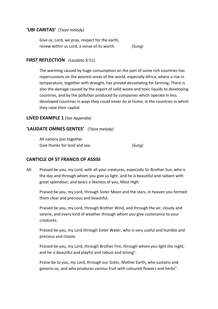#### **'UBI CARITAS'** (*Taize melody)*

| Give us, Lord, we pray, respect for the earth, |        |
|------------------------------------------------|--------|
| renew within us Lord, a sense of its worth.    | (Sung) |

#### **FIRST REFLECTION** *(Laudato Si* 51)

The warming caused by huge consumption on the part of some rich countries has repercussions on the poorest areas of the world, especially Africa, where a rise in temperature, together with drought, has proved devastating for farming. There is also the damage caused by the export of solid waste and toxic liquids to developing countries, and by the pollution produced by companies which operate in less developed countries in ways they could never do at home, in the countries in which they raise their capital.

#### **LIVED EXAMPLE 1** *(See Appendix)*

#### **'LAUDATE OMNES GENTES'** (*Taize melody)*

All nations join together Give thanks for land and sea. *(Sung)*

#### **CANTICLE OF ST FRANCIS OF ASSISI**

All: Praised be you, my Lord, with all your creatures, especially Sir Brother Sun, who is the day and through whom you give us light. and he is beautiful and radiant with great splendour; and bears a likeness of you, Most High.

Praised be you, my Lord, through Sister Moon and the stars, in heaven you formed them clear and precious and beautiful.

Praised be you, my Lord, through Brother Wind, and through the air, cloudy and serene, and every kind of weather through whom you give sustenance to your creatures.

Praised be you, my Lord through Sister Water, who is very useful and humble and precious and chaste.

Praised be you, my Lord, through Brother Fire, through whom you light the night, and he is beautiful and playful and robust and strong".

Praise be to you, my Lord, through our Sister, Mother Earth, who sustains and governs us, and who produces various fruit with coloured flowers and herbs".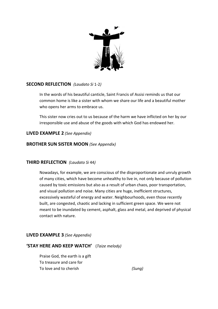

#### **SECOND REFLECTION** *(Laudato Si* 1-2*)*

In the words of his beautiful canticle, Saint Francis of Assisi reminds us that our common home is like a sister with whom we share our life and a beautiful mother who opens her arms to embrace us.

This sister now cries out to us because of the harm we have inflicted on her by our irresponsible use and abuse of the goods with which God has endowed her.

#### **LIVED EXAMPLE 2** *(See Appendix)*

#### **BROTHER SUN SISTER MOON** *(See Appendix)*

#### **THIRD REFLECTION** *(Laudato Si* 44*)*

Nowadays, for example, we are conscious of the disproportionate and unruly growth of many cities, which have become unhealthy to live in, not only because of pollution caused by toxic emissions but also as a result of urban chaos, poor transportation, and visual pollution and noise. Many cities are huge, inefficient structures, excessively wasteful of energy and water. Neighbourhoods, even those recently built, are congested, chaotic and lacking in sufficient green space. We were not meant to be inundated by cement, asphalt, glass and metal, and deprived of physical contact with nature.

#### **LIVED EXAMPLE 3** *(See Appendix)*

#### **'STAY HERE AND KEEP WATCH'** (*Taize melody)*

Praise God, the earth is a gift To treasure and care for To love and to cherish *(Sung)*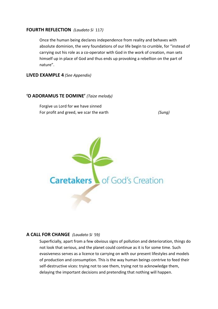#### **FOURTH REFLECTION** *(Laudato Si* 117*)*

Once the human being declares independence from reality and behaves with absolute dominion, the very foundations of our life begin to crumble, for "instead of carrying out his role as a co-operator with God in the work of creation, man sets himself up in place of God and thus ends up provoking a rebellion on the part of nature".

**LIVED EXAMPLE 4** *(See Appendix)*

#### **'O ADORAMUS TE DOMINE'** *(Taize melody)*

Forgive us Lord for we have sinned For profit and greed, we scar the earth *(Sung)*



#### **A CALL FOR CHANGE** *(Laudato Si* 59*)*

Superficially, apart from a few obvious signs of pollution and deterioration, things do not look that serious, and the planet could continue as it is for some time. Such evasiveness serves as a licence to carrying on with our present lifestyles and models of production and consumption. This is the way human beings contrive to feed their self-destructive vices: trying not to see them, trying not to acknowledge them, delaying the important decisions and pretending that nothing will happen.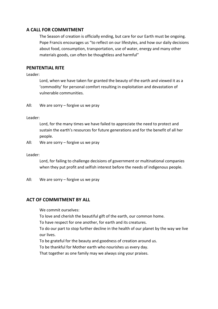#### **A CALL FOR COMMITMENT**

The Season of creation is officially ending, but care for our Earth must be ongoing. Pope Francis encourages us "to reflect on our lifestyles, and how our daily decisions about food, consumption, transportation, use of water, energy and many other materials goods, can often be thoughtless and harmful"

#### **PENITENTIAL RITE**

Leader:

Lord, when we have taken for granted the beauty of the earth and viewed it as a 'commodity' for personal comfort resulting in exploitation and devastation of vulnerable communities.

All: We are sorry – forgive us we pray

#### Leader:

Lord, for the many times we have failed to appreciate the need to protect and sustain the earth's resources for future generations and for the benefit of all her people.

All: We are sorry – forgive us we pray

Leader:

Lord, for failing to challenge decisions of government or multinational companies when they put profit and selfish interest before the needs of indigenous people.

All: We are sorry – forgive us we pray

#### **ACT OF COMMITMENT BY ALL**

We commit ourselves:

To love and cherish the beautiful gift of the earth, our common home.

To have respect for one another, for earth and its creatures.

To do our part to stop further decline in the health of our planet by the way we live our lives.

To be grateful for the beauty and goodness of creation around us.

To be thankful for Mother earth who nourishes us every day.

That together as one family may we always sing your praises.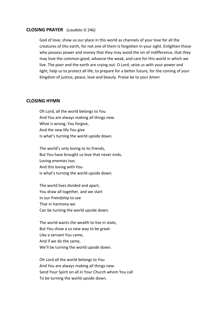#### **CLOSING PRAYER** (*Laudato Si* 246*)*

God of love, show us our place in this world as channels of your love for all the creatures of this earth, for not one of them is forgotten in your sight. Enlighten those who possess power and money that they may avoid the sin of indifference, that they may love the common good, advance the weak, and care for this world in which we live. The poor and the earth are crying out. O Lord, seize us with your power and light, help us to protect all life, to prepare for a better future, for the coming of your Kingdom of justice, peace, love and beauty. Praise be to you! Amen

#### **CLOSING HYMN**

Oh Lord, all the world belongs to You And You are always making all things new. What is wrong, You forgive, And the new life You give Is what's turning the world upside down.

The world's only loving to its friends, But You have brought us love that never ends, Loving enemies too; And this loving with You Is what's turning the world upside down.

The world lives divided and apart, You draw all together, and we start In our friendship to see That in harmony we Can be turning the world upside down.

The world wants the wealth to live in state, But You show a us new way to be great: Like a servant You came, And if we do the same, We'll be turning the world upside down.

Oh Lord all the world belongs to You And You are always making all things new. Send Your Spirit on all in Your Church whom You call To be turning the world upside down.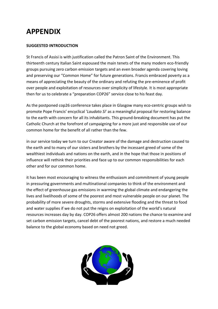### **APPENDIX**

#### **SUGGESTED INTRODUCTION**

St Francis of Assisi is with justification called the Patron Saint of the Environment. This thirteenth century Italian Saint espoused the main tenets of the many modern eco-friendly groups pursuing zero carbon emission targets and an even broader agenda covering loving and preserving our "Common Home" for future generations. Francis embraced poverty as a means of appreciating the beauty of the ordinary and refuting the pre-eminence of profit over people and exploitation of resources over simplicity of lifestyle. It is most appropriate then for us to celebrate a "preparation COP26" service close to his feast day.

As the postponed cop26 conference takes place in Glasgow many eco-centric groups wish to promote Pope Francis' encyclical '*Laudato Si*' as a meaningful proposal for restoring balance to the earth with concern for all its inhabitants. This ground-breaking document has put the Catholic Church at the forefront of campaigning for a more just and responsible use of our common home for the benefit of all rather than the few.

in our service today we turn to our Creator aware of the damage and destruction caused to the earth and to many of our sisters and brothers by the incessant greed of some of the wealthiest individuals and nations on the earth, and in the hope that those in positions of influence will rethink their priorities and face up to our common responsibilities for each other and for our common home.

it has been most encouraging to witness the enthusiasm and commitment of young people in pressuring governments and multinational companies to think of the environment and the effect of greenhouse gas emissions in warming the global climate and endangering the lives and livelihoods of some of the poorest and most vulnerable people on our planet. The probability of more severe droughts, storms and extensive flooding and the threat to food and water supplies if we do not put the reigns on exploitation of the world's natural resources increases day by day. COP26 offers almost 200 nations the chance to examine and set carbon emission targets, cancel debt of the poorest nations, and restore a much needed balance to the global economy based on need not greed.

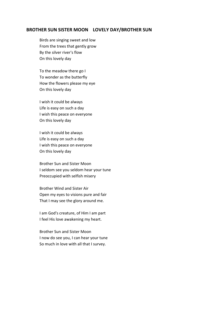#### **BROTHER SUN SISTER MOON LOVELY DAY/BROTHER SUN**

Birds are singing sweet and low From the trees that gently grow By the silver river's flow On this lovely day

To the meadow there go I To wonder as the butterfly How the flowers please my eye On this lovely day

I wish it could be always Life is easy on such a day I wish this peace on everyone On this lovely day

I wish it could be always Life is easy on such a day I wish this peace on everyone On this lovely day

Brother Sun and Sister Moon I seldom see you seldom hear your tune Preoccupied with selfish misery

Brother Wind and Sister Air Open my eyes to visions pure and fair That I may see the glory around me.

I am God's creature, of Him I am part I feel His love awakening my heart.

Brother Sun and Sister Moon I now do see you, I can hear your tune So much in love with all that I survey.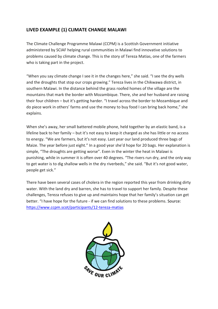#### **LIVED EXAMPLE (1) CLIMATE CHANGE MALAWI**

The Climate Challenge Programme Malawi (CCPM) is a Scottish Government initiative administered by SCIAF helping rural communities in Malawi find innovative solutions to problems caused by climate change. This is the story of Tereza Matias, one of the farmers who is taking part in the project.

"When you say climate change I see it in the changes here," she said. "I see the dry wells and the droughts that stop our crops growing." Tereza lives in the Chikwawa district, in southern Malawi. In the distance behind the grass roofed homes of the village are the mountains that mark the border with Mozambique. There, she and her husband are raising their four children – but it's getting harder. "I travel across the border to Mozambique and do piece work in others' farms and use the money to buy food I can bring back home," she explains.

When she's away, her small battered mobile phone, held together by an elastic band, is a lifeline back to her family – but it's not easy to keep it charged as she has little or no access to energy. "We are farmers, but it's not easy. Last year our land produced three bags of Maize. The year before just eight." In a good year she'd hope for 20 bags. Her explanation is simple, "The droughts are getting worse". Even in the winter the heat in Malawi is punishing, while in summer it is often over 40 degrees. "The rivers run dry, and the only way to get water is to dig shallow wells in the dry riverbeds," she said. "But it's not good water, people get sick."

There have been several cases of cholera in the region reported this year from drinking dirty water. With the land dry and barren, she has to travel to support her family. Despite these challenges, Tereza refuses to give up and maintains hope that her family's situation can get better. "I have hope for the future - if we can find solutions to these problems. Source: <https://www.ccpm.scot/participants/12-tereza-matias>

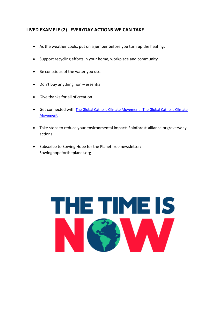#### **LIVED EXAMPLE (2) EVERYDAY ACTIONS WE CAN TAKE**

- As the weather cools, put on a jumper before you turn up the heating.
- Support recycling efforts in your home, workplace and community.
- Be conscious of the water you use.
- Don't buy anything non essential.
- Give thanks for all of creation!
- Get connected with [The Global Catholic Climate Movement : The Global Catholic Climate](https://catholicclimatemovement.global/)  [Movement](https://catholicclimatemovement.global/)
- Take steps to reduce your environmental impact: Rainforest-alliance.org/everydayactions
- Subscribe to Sowing Hope for the Planet free newsletter: Sowinghopefortheplanet.org

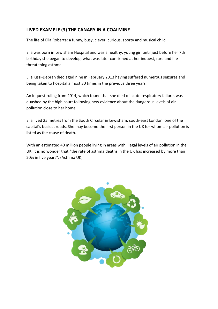#### **LIVED EXAMPLE (3) THE CANARY IN A COALMINE**

The life of Ella Roberta: a funny, busy, clever, curious, sporty and musical child

Ella was born in Lewisham Hospital and was a healthy, young girl until just before her 7th birthday she began to develop, what was later confirmed at her inquest, rare and lifethreatening asthma.

Ella Kissi-Debrah died aged nine in February 2013 having suffered numerous seizures and being taken to hospital almost 30 times in the previous three years.

An inquest ruling from 2014, which found that she died of acute respiratory failure, was quashed by the high court following new evidence about the dangerous levels of air pollution close to her home.

Ella lived 25 metres from the South Circular in Lewisham, south-east London, one of the capital's busiest roads. She may become the first person in the UK for whom air pollution is listed as the cause of death.

With an estimated 40 million people living in areas with illegal levels of air pollution in the UK, it is no wonder that "the rate of asthma deaths in the UK has increased by more than 20% in five years". (Asthma UK)

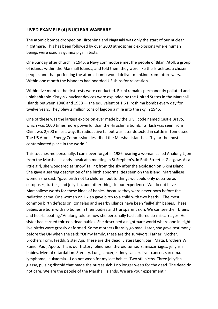#### **LIVED EXAMPLE (4) NUCLEAR WARFARE**

The atomic bombs dropped on Hiroshima and Nagasaki was only the start of our nuclear nightmare. This has been followed by over 2000 atmospheric explosions where human beings were used as guinea pigs in tests.

One Sunday after church in 1946, a Navy commodore met the people of Bikini Atoll, a group of islands within the Marshall Islands, and told them they were like the Israelites, a chosen people, and that perfecting the atomic bomb would deliver mankind from future wars. Within one month the islanders had boarded US ships for relocation.

Within five months the first tests were conducted. Bikini remains permanently polluted and uninhabitable. Sixty-six nuclear devices were exploded by the United States in the Marshall Islands between 1946 and 1958 — the equivalent of 1.6 Hiroshima bombs every day for twelve years. They blew 2 million tons of lagoon a mile into the sky in 1946.

One of these was the largest explosion ever made by the U.S., code named Castle Bravo, which was 1000 times more powerful than the Hiroshima bomb. Its flash was seen from Okinawa, 2,600 miles away. Its radioactive fallout was later detected in cattle in Tennessee. The US Atomic Energy Commission described the Marshall Islands as "by far the most contaminated place in the world."

This touches me personally. I can never forget in 1986 hearing a woman called Analong Lijon from the Marshall Islands speak at a meeting in St Stephen's, in Bath Street in Glasgow. As a little girl, she wondered at 'snow' falling from the sky after the explosion on Bikini Island. She gave a searing description of the birth abnormalities seen on the island, Marshallese women she said: "gave birth not to children, but to things we could only describe as octopuses, turtles, and jellyfish, and other things in our experience. We do not have Marshallese words for these kinds of babies, because they were never born before the radiation came. One woman on Likiep gave birth to a child with two heads… The most common birth defects on Rongelap and nearby islands have been "jellyfish" babies. These babies are born with no bones in their bodies and transparent skin. We can see their brains and hearts beating."Analong told us how she personally had suffered six miscarriages. Her sister had carried thirteen dead babies. She described a nightmare world where one in eight live births were grossly deformed. Some mothers literally go mad. Later, she gave testimony before the UN when she said: "Of my family, these are the survivors: Father. Mother. Brothers Tomi, Freddi. Sister Api. These are the dead: Sisters Lijon, Sari, Mata. Brothers Wili, Kunio, Paul, Apolo. This is our history: blindness. thyroid tumours. miscarriages. jellyfish babies. Mental retardation. Sterility. Lung cancer, kidney cancer. liver cancer, sarcoma. lymphoma, leukaemia….I do not weep for my lost babies. Two stillbirths. Three jellyfish glassy, pulsing discoid that made the nurses sick. I no longer weep for the dead. The dead do not care. We are the people of the Marshall Islands. We are your experiment."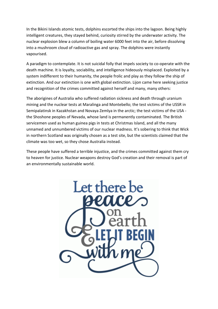In the Bikini Islands atomic tests, dolphins escorted the ships into the lagoon. Being highly intelligent creatures, they stayed behind, curiosity stirred by the underwater activity. The nuclear explosion blew a column of boiling water 6000 feet into the air, before dissolving into a mushroom cloud of radioactive gas and spray. The dolphins were instantly vapourised.

A paradigm to contemplate. It is not suicidal folly that impels society to co-operate with the death machine. It is loyalty, sociability, and intelligence hideously misplaced. Exploited by a system indifferent to their humanity, the people frolic and play as they follow the ship of extinction. And our extinction is one with global extinction. Lijon came here seeking justice and recognition of the crimes committed against herself and many, many others:

The aborigines of Australia who suffered radiation sickness and death through uranium mining and the nuclear tests at Maralinga and Montebello; the test victims of the USSR in Semipalatinsk in Kazakhstan and Novaya Zemlya in the arctic; the test victims of the USA the Shoshone peoples of Nevada, whose land is permanently contaminated. The British servicemen used as human guinea pigs in tests at Christmas Island, and all the many unnamed and unnumbered victims of our nuclear madness. It's sobering to think that Wick in northern Scotland was originally chosen as a test site, but the scientists claimed that the climate was too wet, so they chose Australia instead.

These people have suffered a terrible injustice, and the crimes committed against them cry to heaven for justice. Nuclear weapons destroy God's creation and their removal is part of an environmentally sustainable world.

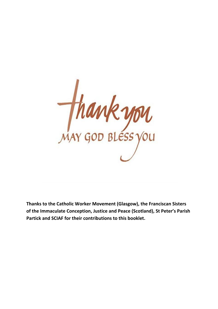

**Thanks to the Catholic Worker Movement (Glasgow), the Franciscan Sisters of the Immaculate Conception, Justice and Peace (Scotland), St Peter's Parish Partick and SCIAF for their contributions to this booklet.**